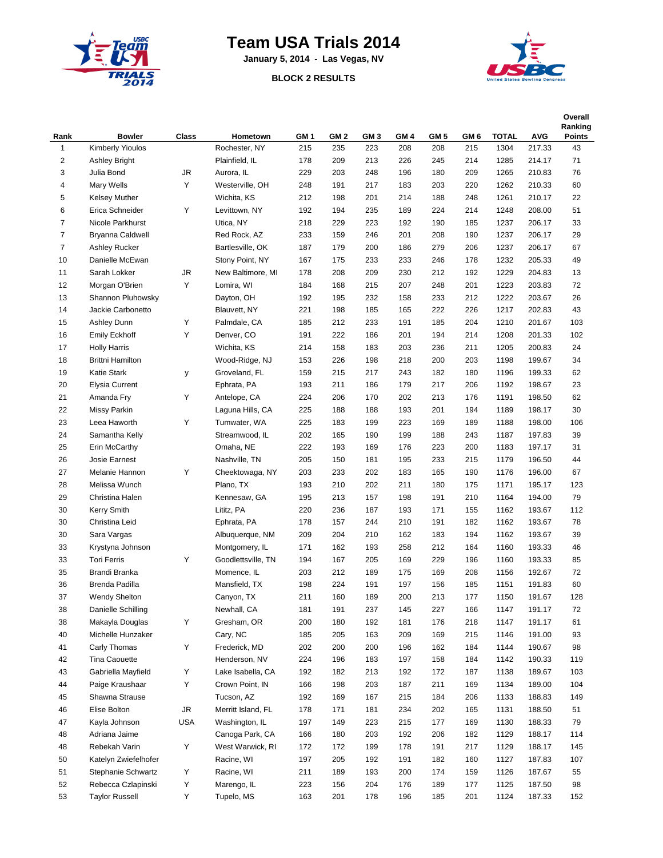

## **Team USA Trials 2014**

**January 5, 2014 - Las Vegas, NV**

## **BLOCK 2 RESULTS**



| Rank           | <b>Bowler</b>           | <b>Class</b> | Hometown           | GM <sub>1</sub> | GM <sub>2</sub> | GM <sub>3</sub> | GM <sub>4</sub> | GM <sub>5</sub> | GM <sub>6</sub> | <b>TOTAL</b> | <b>AVG</b> | Overall<br>Ranking<br><b>Points</b> |
|----------------|-------------------------|--------------|--------------------|-----------------|-----------------|-----------------|-----------------|-----------------|-----------------|--------------|------------|-------------------------------------|
| 1              | <b>Kimberly Yioulos</b> |              | Rochester, NY      | 215             | 235             | 223             | 208             | 208             | 215             | 1304         | 217.33     | 43                                  |
| $\overline{2}$ | Ashley Bright           |              | Plainfield, IL     | 178             | 209             | 213             | 226             | 245             | 214             | 1285         | 214.17     | 71                                  |
| 3              | Julia Bond              | JR           | Aurora, IL         | 229             | 203             | 248             | 196             | 180             | 209             | 1265         | 210.83     | 76                                  |
| 4              | Mary Wells              | Υ            | Westerville, OH    | 248             | 191             | 217             | 183             | 203             | 220             | 1262         | 210.33     | 60                                  |
| 5              | Kelsey Muther           |              | Wichita, KS        | 212             | 198             | 201             | 214             | 188             | 248             | 1261         | 210.17     | 22                                  |
| 6              | Erica Schneider         | Υ            | Levittown, NY      | 192             | 194             | 235             | 189             | 224             | 214             | 1248         | 208.00     | 51                                  |
| $\overline{7}$ | Nicole Parkhurst        |              | Utica, NY          | 218             | 229             | 223             | 192             | 190             | 185             | 1237         | 206.17     | 33                                  |
| $\overline{7}$ | Bryanna Caldwell        |              | Red Rock, AZ       | 233             | 159             | 246             | 201             | 208             | 190             | 1237         | 206.17     | 29                                  |
| $\overline{7}$ | Ashley Rucker           |              | Bartlesville, OK   | 187             | 179             | 200             | 186             | 279             | 206             | 1237         | 206.17     | 67                                  |
| 10             | Danielle McEwan         |              | Stony Point, NY    | 167             | 175             | 233             | 233             | 246             | 178             | 1232         | 205.33     | 49                                  |
| 11             | Sarah Lokker            | JR           | New Baltimore, MI  | 178             | 208             | 209             | 230             | 212             | 192             | 1229         | 204.83     | 13                                  |
| 12             | Morgan O'Brien          | Υ            | Lomira, WI         | 184             | 168             | 215             | 207             | 248             | 201             | 1223         | 203.83     | 72                                  |
| 13             | Shannon Pluhowsky       |              | Dayton, OH         | 192             | 195             | 232             | 158             | 233             | 212             | 1222         | 203.67     | 26                                  |
| 14             | Jackie Carbonetto       |              | Blauvett, NY       | 221             | 198             | 185             | 165             | 222             | 226             | 1217         | 202.83     | 43                                  |
| 15             | Ashley Dunn             | Υ            | Palmdale, CA       |                 | 212             | 233             | 191             | 185             | 204             | 1210         | 201.67     | 103                                 |
| 16             |                         | Υ            |                    | 185             | 222             | 186             | 201             |                 | 214             | 1208         |            | 102                                 |
|                | <b>Emily Eckhoff</b>    |              | Denver, CO         | 191             |                 |                 |                 | 194             |                 |              | 201.33     |                                     |
| 17             | <b>Holly Harris</b>     |              | Wichita, KS        | 214             | 158             | 183             | 203             | 236             | 211             | 1205         | 200.83     | 24                                  |
| 18             | <b>Brittni Hamilton</b> |              | Wood-Ridge, NJ     | 153             | 226             | 198             | 218             | 200             | 203             | 1198         | 199.67     | 34                                  |
| 19             | Katie Stark             | у            | Groveland, FL      | 159             | 215             | 217             | 243             | 182             | 180             | 1196         | 199.33     | 62                                  |
| 20             | <b>Elysia Current</b>   |              | Ephrata, PA        | 193             | 211             | 186             | 179             | 217             | 206             | 1192         | 198.67     | 23                                  |
| 21             | Amanda Fry              | Υ            | Antelope, CA       | 224             | 206             | 170             | 202             | 213             | 176             | 1191         | 198.50     | 62                                  |
| 22             | Missy Parkin            |              | Laguna Hills, CA   | 225             | 188             | 188             | 193             | 201             | 194             | 1189         | 198.17     | 30                                  |
| 23             | Leea Haworth            | Υ            | Tumwater, WA       | 225             | 183             | 199             | 223             | 169             | 189             | 1188         | 198.00     | 106                                 |
| 24             | Samantha Kelly          |              | Streamwood, IL     | 202             | 165             | 190             | 199             | 188             | 243             | 1187         | 197.83     | 39                                  |
| 25             | Erin McCarthy           |              | Omaha, NE          | 222             | 193             | 169             | 176             | 223             | 200             | 1183         | 197.17     | 31                                  |
| 26             | Josie Earnest           |              | Nashville, TN      | 205             | 150             | 181             | 195             | 233             | 215             | 1179         | 196.50     | 44                                  |
| 27             | Melanie Hannon          | Υ            | Cheektowaga, NY    | 203             | 233             | 202             | 183             | 165             | 190             | 1176         | 196.00     | 67                                  |
| 28             | Melissa Wunch           |              | Plano, TX          | 193             | 210             | 202             | 211             | 180             | 175             | 1171         | 195.17     | 123                                 |
| 29             | Christina Halen         |              | Kennesaw, GA       | 195             | 213             | 157             | 198             | 191             | 210             | 1164         | 194.00     | 79                                  |
| 30             | <b>Kerry Smith</b>      |              | Lititz, PA         | 220             | 236             | 187             | 193             | 171             | 155             | 1162         | 193.67     | 112                                 |
| 30             | Christina Leid          |              | Ephrata, PA        | 178             | 157             | 244             | 210             | 191             | 182             | 1162         | 193.67     | 78                                  |
| 30             | Sara Vargas             |              | Albuquerque, NM    | 209             | 204             | 210             | 162             | 183             | 194             | 1162         | 193.67     | 39                                  |
| 33             | Krystyna Johnson        |              | Montgomery, IL     | 171             | 162             | 193             | 258             | 212             | 164             | 1160         | 193.33     | 46                                  |
| 33             | <b>Tori Ferris</b>      | Υ            | Goodlettsville, TN | 194             | 167             | 205             | 169             | 229             | 196             | 1160         | 193.33     | 85                                  |
| 35             | Brandi Branka           |              | Momence, IL        | 203             | 212             | 189             | 175             | 169             | 208             | 1156         | 192.67     | 72                                  |
| 36             | Brenda Padilla          |              | Mansfield, TX      | 198             | 224             | 191             | 197             | 156             | 185             | 1151         | 191.83     | 60                                  |
| 37             | Wendy Shelton           |              | Canyon, TX         | 211             | 160             | 189             | 200             | 213             | 177             | 1150         | 191.67     | 128                                 |
| 38             | Danielle Schilling      |              | Newhall, CA        | 181             | 191             | 237             | 145             | 227             | 166             | 1147         | 191.17     | 72                                  |
| 38             | Makayla Douglas         | Υ            | Gresham, OR        | 200             | 180             | 192             | 181             | 176             | 218             | 1147         | 191.17     | 61                                  |
| 40             | Michelle Hunzaker       |              | Cary, NC           | 185             | 205             | 163             | 209             | 169             | 215             | 1146         | 191.00     | 93                                  |
| 41             | Carly Thomas            | Υ            | Frederick, MD      | 202             | 200             | 200             | 196             | 162             | 184             | 1144         | 190.67     | 98                                  |
| 42             | Tina Caouette           |              | Henderson, NV      | 224             | 196             | 183             | 197             | 158             | 184             | 1142         | 190.33     | 119                                 |
| 43             | Gabriella Mayfield      | Υ            | Lake Isabella, CA  | 192             | 182             | 213             | 192             | 172             | 187             | 1138         | 189.67     | 103                                 |
| 44             | Paige Kraushaar         | Υ            | Crown Point, IN    | 166             | 198             | 203             | 187             | 211             | 169             | 1134         | 189.00     | 104                                 |
| 45             | Shawna Strause          |              | Tucson, AZ         | 192             | 169             | 167             | 215             | 184             | 206             | 1133         | 188.83     | 149                                 |
| 46             | Elise Bolton            | JR           | Merritt Island, FL | 178             | 171             | 181             | 234             | 202             | 165             | 1131         | 188.50     | 51                                  |
| 47             | Kayla Johnson           | USA          | Washington, IL     | 197             | 149             | 223             | 215             | 177             | 169             | 1130         | 188.33     | 79                                  |
| 48             | Adriana Jaime           |              | Canoga Park, CA    | 166             | 180             | 203             | 192             | 206             | 182             | 1129         | 188.17     | 114                                 |
| 48             | Rebekah Varin           | Υ            | West Warwick, RI   | 172             | 172             | 199             | 178             | 191             | 217             | 1129         | 188.17     | 145                                 |
| 50             | Katelyn Zwiefelhofer    |              | Racine, WI         | 197             | 205             | 192             | 191             | 182             | 160             | 1127         | 187.83     | 107                                 |
| 51             | Stephanie Schwartz      | Υ            | Racine, WI         | 211             | 189             | 193             | 200             | 174             | 159             | 1126         | 187.67     | 55                                  |
| 52             | Rebecca Czlapinski      | Υ            | Marengo, IL        | 223             | 156             | 204             | 176             | 189             | 177             | 1125         | 187.50     | 98                                  |
| 53             | <b>Taylor Russell</b>   | Υ            | Tupelo, MS         | 163             | 201             | 178             | 196             | 185             | 201             | 1124         | 187.33     | 152                                 |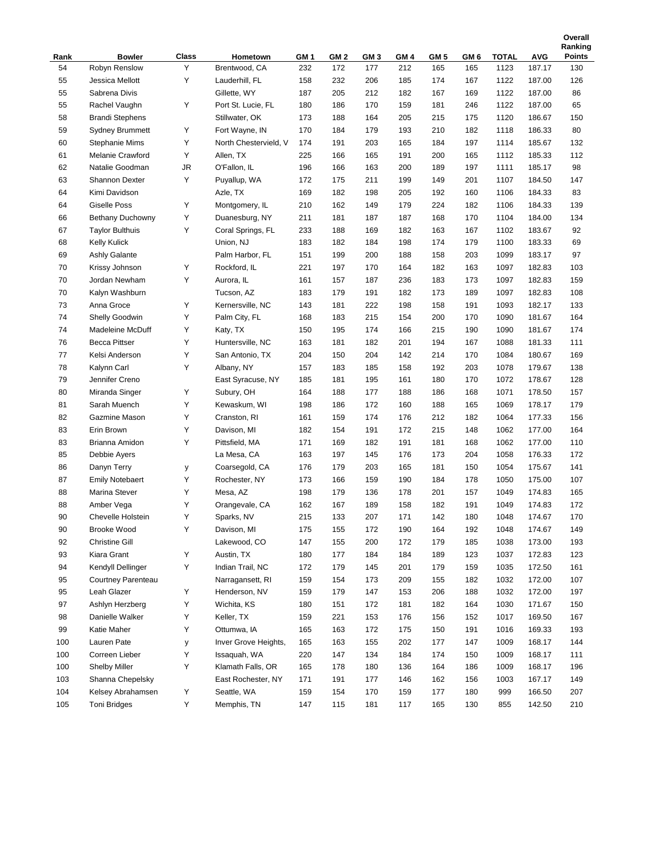|            |                        |        |                       |                 |      |                 |      |      |      |       |                  | Ranking       |
|------------|------------------------|--------|-----------------------|-----------------|------|-----------------|------|------|------|-------|------------------|---------------|
| Rank       | <b>Bowler</b>          | Class  | Hometown              | GM <sub>1</sub> | GM 2 | GM <sub>3</sub> | GM 4 | GM 5 | GM 6 | TOTAL | <b>AVG</b>       | <b>Points</b> |
| 54         | Robyn Renslow          | Y      | Brentwood, CA         | 232             | 172  | 177             | 212  | 165  | 165  | 1123  | 187.17           | 130           |
| 55         | Jessica Mellott        | Υ      | Lauderhill, FL        | 158             | 232  | 206             | 185  | 174  | 167  | 1122  | 187.00           | 126           |
| 55         | Sabrena Divis          |        | Gillette, WY          | 187             | 205  | 212             | 182  | 167  | 169  | 1122  | 187.00           | 86            |
| 55         | Rachel Vaughn          | Υ      | Port St. Lucie, FL    | 180             | 186  | 170             | 159  | 181  | 246  | 1122  | 187.00           | 65            |
| 58         | <b>Brandi Stephens</b> |        | Stillwater, OK        | 173             | 188  | 164             | 205  | 215  | 175  | 1120  | 186.67           | 150           |
| 59         | <b>Sydney Brummett</b> | Υ      | Fort Wayne, IN        | 170             | 184  | 179             | 193  | 210  | 182  | 1118  | 186.33           | 80            |
| 60         | <b>Stephanie Mims</b>  | Υ      | North Chestervield, V | 174             | 191  | 203             | 165  | 184  | 197  | 1114  | 185.67           | 132           |
| 61         | Melanie Crawford       | Υ      | Allen, TX             | 225             | 166  | 165             | 191  | 200  | 165  | 1112  | 185.33           | 112           |
| 62         | Natalie Goodman        | JR     | O'Fallon, IL          | 196             | 166  | 163             | 200  | 189  | 197  | 1111  | 185.17           | 98            |
| 63         | <b>Shannon Dexter</b>  | Υ      | Puyallup, WA          | 172             | 175  | 211             | 199  | 149  | 201  | 1107  | 184.50           | 147           |
| 64         | Kimi Davidson          |        | Azle, TX              | 169             | 182  | 198             | 205  | 192  | 160  | 1106  | 184.33           | 83            |
| 64         | <b>Giselle Poss</b>    | Υ      | Montgomery, IL        | 210             | 162  | 149             | 179  | 224  | 182  | 1106  | 184.33           | 139           |
| 66         | Bethany Duchowny       | Υ      | Duanesburg, NY        | 211             | 181  | 187             | 187  | 168  | 170  | 1104  | 184.00           | 134           |
| 67         | <b>Taylor Bulthuis</b> | Υ      | Coral Springs, FL     | 233             | 188  | 169             | 182  | 163  | 167  | 1102  | 183.67           | 92            |
| 68         | <b>Kelly Kulick</b>    |        | Union, NJ             | 183             | 182  | 184             | 198  | 174  | 179  | 1100  | 183.33           | 69            |
| 69         | Ashly Galante          |        | Palm Harbor, FL       | 151             | 199  | 200             | 188  | 158  | 203  | 1099  | 183.17           | 97            |
| 70         | Krissy Johnson         | Υ      | Rockford, IL          | 221             | 197  | 170             | 164  | 182  | 163  | 1097  | 182.83           | 103           |
| 70         | Jordan Newham          | Υ      | Aurora, IL            | 161             | 157  | 187             | 236  | 183  | 173  | 1097  | 182.83           | 159           |
| 70         | Kalyn Washburn         |        | Tucson, AZ            | 183             | 179  | 191             | 182  | 173  | 189  | 1097  | 182.83           | 108           |
| 73         | Anna Groce             | Υ      | Kernersville, NC      | 143             | 181  | 222             | 198  | 158  | 191  | 1093  | 182.17           | 133           |
| 74         | Shelly Goodwin         | Υ      | Palm City, FL         | 168             | 183  | 215             | 154  | 200  | 170  | 1090  | 181.67           | 164           |
| 74         | Madeleine McDuff       | Υ      | Katy, TX              | 150             | 195  | 174             | 166  | 215  | 190  | 1090  | 181.67           | 174           |
| 76         | <b>Becca Pittser</b>   | Υ      | Huntersville, NC      | 163             | 181  | 182             | 201  | 194  | 167  | 1088  | 181.33           | 111           |
| 77         | Kelsi Anderson         | Υ      | San Antonio, TX       | 204             | 150  | 204             | 142  | 214  | 170  | 1084  | 180.67           | 169           |
| 78         | Kalynn Carl            | Υ      | Albany, NY            | 157             | 183  | 185             | 158  | 192  | 203  | 1078  | 179.67           | 138           |
| 79         | Jennifer Creno         |        | East Syracuse, NY     | 185             | 181  | 195             | 161  | 180  | 170  | 1072  | 178.67           | 128           |
| 80         | Miranda Singer         | Υ      | Subury, OH            | 164             | 188  | 177             | 188  | 186  | 168  | 1071  | 178.50           | 157           |
| 81         | Sarah Muench           | Υ      | Kewaskum, WI          | 198             | 186  | 172             | 160  | 188  | 165  | 1069  | 178.17           | 179           |
| 82         | Gazmine Mason          | Υ      | Cranston, RI          | 161             | 159  | 174             | 176  | 212  | 182  | 1064  | 177.33           | 156           |
| 83         | Erin Brown             | Υ      | Davison, MI           | 182             | 154  | 191             | 172  | 215  | 148  | 1062  | 177.00           | 164           |
| 83         | Brianna Amidon         | Υ      | Pittsfield, MA        | 171             | 169  | 182             | 191  | 181  | 168  | 1062  | 177.00           | 110           |
| 85         | Debbie Ayers           |        | La Mesa, CA           | 163             | 197  | 145             | 176  | 173  | 204  | 1058  | 176.33           | 172           |
| 86         | Danyn Terry            | у      | Coarsegold, CA        | 176             | 179  | 203             | 165  | 181  | 150  | 1054  | 175.67           | 141           |
| 87         | <b>Emily Notebaert</b> | Υ      | Rochester, NY         | 173             | 166  | 159             | 190  | 184  | 178  | 1050  | 175.00           | 107           |
| 88         | Marina Stever          | Υ      | Mesa, AZ              | 198             | 179  | 136             | 178  | 201  | 157  | 1049  | 174.83           | 165           |
| 88         | Amber Vega             | Υ      | Orangevale, CA        | 162             | 167  | 189             | 158  | 182  | 191  | 1049  | 174.83           | 172           |
| 90         | Chevelle Holstein      | Υ      | Sparks, NV            | 215             | 133  | 207             | 171  | 142  | 180  | 1048  | 174.67           | 170           |
| 90         | <b>Brooke Wood</b>     | Υ      | Davison, MI           | 175             | 155  | 172             | 190  | 164  | 192  | 1048  | 174.67           | 149           |
| 92         | <b>Christine Gill</b>  |        | Lakewood, CO          | 147             | 155  | 200             | 172  | 179  | 185  | 1038  | 173.00           | 193           |
| 93         | Kiara Grant            | Υ      | Austin, TX            | 180             | 177  | 184             | 184  | 189  | 123  | 1037  | 172.83           | 123           |
| 94         | Kendyll Dellinger      | Υ      | Indian Trail, NC      | 172             | 179  | 145             | 201  | 179  | 159  | 1035  | 172.50           | 161           |
| 95         | Courtney Parenteau     |        | Narragansett, RI      | 159             | 154  | 173             | 209  | 155  | 182  | 1032  | 172.00           | 107           |
| 95         | Leah Glazer            | Υ      | Henderson, NV         | 159             | 179  | 147             | 153  | 206  | 188  | 1032  | 172.00           | 197           |
| 97         | Ashlyn Herzberg        | Υ      | Wichita, KS           | 180             | 151  | 172             | 181  | 182  | 164  | 1030  | 171.67           | 150           |
| 98         | Danielle Walker        | Υ      | Keller, TX            | 159             | 221  | 153             | 176  | 156  | 152  | 1017  | 169.50           | 167           |
| 99         | Katie Maher            | Υ      | Ottumwa, IA           | 165             | 163  | 172             | 175  | 150  | 191  | 1016  | 169.33           | 193           |
|            | Lauren Pate            |        | Inver Grove Heights,  |                 |      |                 |      |      |      |       |                  |               |
| 100<br>100 | Correen Lieber         | у<br>Υ | Issaquah, WA          | 165<br>220      | 163  | 155<br>134      | 202  | 177  | 147  | 1009  | 168.17<br>168.17 | 144           |
|            |                        | Υ      |                       |                 | 147  |                 | 184  | 174  | 150  | 1009  |                  | 111           |
| 100        | Shelby Miller          |        | Klamath Falls, OR     | 165             | 178  | 180             | 136  | 164  | 186  | 1009  | 168.17           | 196           |
| 103        | Shanna Chepelsky       |        | East Rochester, NY    | 171             | 191  | 177             | 146  | 162  | 156  | 1003  | 167.17           | 149           |
| 104        | Kelsey Abrahamsen      | Υ      | Seattle, WA           | 159             | 154  | 170             | 159  | 177  | 180  | 999   | 166.50           | 207           |
| 105        | <b>Toni Bridges</b>    | Υ      | Memphis, TN           | 147             | 115  | 181             | 117  | 165  | 130  | 855   | 142.50           | 210           |

**Overall**